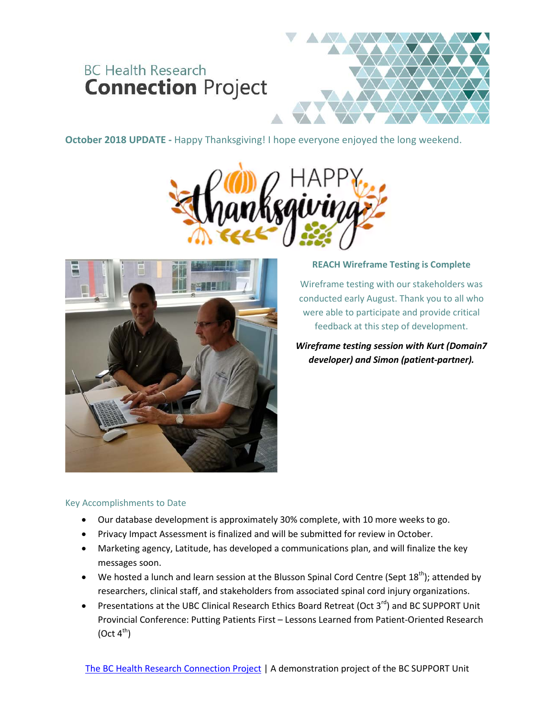# **BC Health Research Connection Project**

**October 2018 UPDATE -** Happy Thanksgiving! I hope everyone enjoyed the long weekend.





### **REACH Wireframe Testing is Complete**

Wireframe testing with our stakeholders was conducted early August. Thank you to all who were able to participate and provide critical feedback at this step of development.

*Wireframe testing session with Kurt (Domain7 developer) and Simon (patient-partner).*

# Key Accomplishments to Date

- Our database development is approximately 30% complete, with 10 more weeks to go.
- Privacy Impact Assessment is finalized and will be submitted for review in October.
- Marketing agency, Latitude, has developed a communications plan, and will finalize the key messages soon.
- We hosted a lunch and learn session at the Blusson Spinal Cord Centre (Sept 18<sup>th</sup>); attended by researchers, clinical staff, and stakeholders from associated spinal cord injury organizations.
- Presentations at the UBC Clinical Research Ethics Board Retreat (Oct  $3^{rd}$ ) and BC SUPPORT Unit Provincial Conference: Putting Patients First – Lessons Learned from Patient-Oriented Research  $(Oct 4<sup>th</sup>)$

[The BC Health Research Connection Project](http://bcsupportunit.ca/healthresearchconnection/) | A demonstration project of the BC SUPPORT Unit